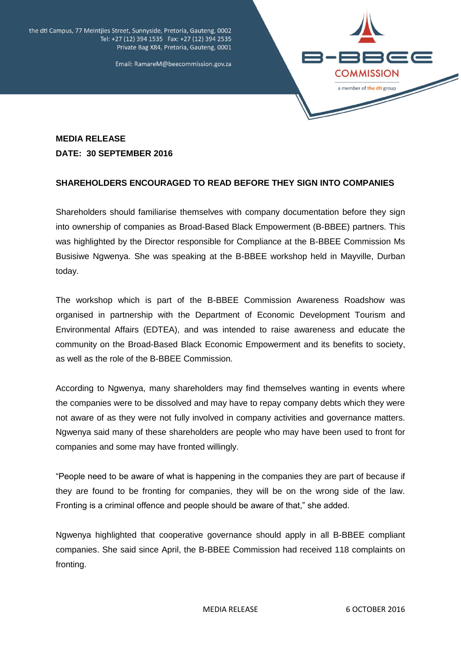the dti Campus, 77 Meintjies Street, Sunnyside, Pretoria, Gauteng, 0002 Tel: +27 (12) 394 1535 Fax: +27 (12) 394 2535 Private Bag X84, Pretoria, Gauteng, 0001



Email: RamareM@beecommission.gov.za

## **MEDIA RELEASE DATE: 30 SEPTEMBER 2016**

## **SHAREHOLDERS ENCOURAGED TO READ BEFORE THEY SIGN INTO COMPANIES**

Shareholders should familiarise themselves with company documentation before they sign into ownership of companies as Broad-Based Black Empowerment (B-BBEE) partners. This was highlighted by the Director responsible for Compliance at the B-BBEE Commission Ms Busisiwe Ngwenya. She was speaking at the B-BBEE workshop held in Mayville, Durban today.

The workshop which is part of the B-BBEE Commission Awareness Roadshow was organised in partnership with the Department of Economic Development Tourism and Environmental Affairs (EDTEA), and was intended to raise awareness and educate the community on the Broad-Based Black Economic Empowerment and its benefits to society, as well as the role of the B-BBEE Commission.

According to Ngwenya, many shareholders may find themselves wanting in events where the companies were to be dissolved and may have to repay company debts which they were not aware of as they were not fully involved in company activities and governance matters. Ngwenya said many of these shareholders are people who may have been used to front for companies and some may have fronted willingly.

"People need to be aware of what is happening in the companies they are part of because if they are found to be fronting for companies, they will be on the wrong side of the law. Fronting is a criminal offence and people should be aware of that," she added.

Ngwenya highlighted that cooperative governance should apply in all B-BBEE compliant companies. She said since April, the B-BBEE Commission had received 118 complaints on fronting.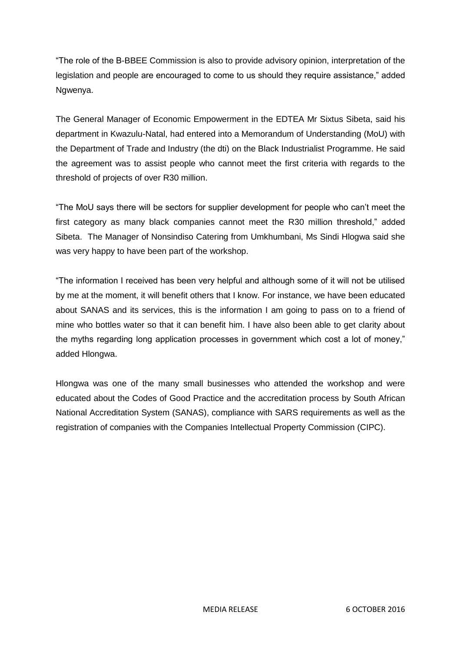"The role of the B-BBEE Commission is also to provide advisory opinion, interpretation of the legislation and people are encouraged to come to us should they require assistance," added Ngwenya.

The General Manager of Economic Empowerment in the EDTEA Mr Sixtus Sibeta, said his department in Kwazulu-Natal, had entered into a Memorandum of Understanding (MoU) with the Department of Trade and Industry (the dti) on the Black Industrialist Programme. He said the agreement was to assist people who cannot meet the first criteria with regards to the threshold of projects of over R30 million.

"The MoU says there will be sectors for supplier development for people who can't meet the first category as many black companies cannot meet the R30 million threshold," added Sibeta. The Manager of Nonsindiso Catering from Umkhumbani, Ms Sindi Hlogwa said she was very happy to have been part of the workshop.

"The information I received has been very helpful and although some of it will not be utilised by me at the moment, it will benefit others that I know. For instance, we have been educated about SANAS and its services, this is the information I am going to pass on to a friend of mine who bottles water so that it can benefit him. I have also been able to get clarity about the myths regarding long application processes in government which cost a lot of money," added Hlongwa.

Hlongwa was one of the many small businesses who attended the workshop and were educated about the Codes of Good Practice and the accreditation process by South African National Accreditation System (SANAS), compliance with SARS requirements as well as the registration of companies with the Companies Intellectual Property Commission (CIPC).